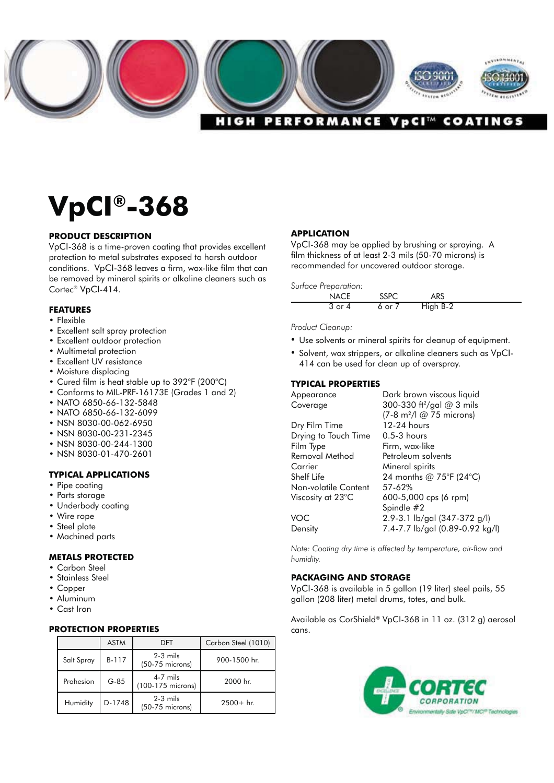

# **VpCI®-368**

## **PRODUCT DESCRIPTION**

VpCI-368 is a time-proven coating that provides excellent protection to metal substrates exposed to harsh outdoor conditions. VpCI-368 leaves a firm, wax-like film that can be removed by mineral spirits or alkaline cleaners such as Cortec® VpCI-414.

# **FEATURES**

- Flexible
- Excellent salt spray protection
- Excellent outdoor protection
- Multimetal protection
- Excellent UV resistance
- Moisture displacing
- Cured film is heat stable up to 392°F (200°C)
- Conforms to MIL-PRF-16173E (Grades 1 and 2)
- NATO 6850-66-132-5848
- NATO 6850-66-132-6099
- NSN 8030-00-062-6950
- NSN 8030-00-231-2345
- NSN 8030-00-244-1300
- NSN 8030-01-470-2601

## **TYPICAL APPLICATIONS**

- Pipe coating
- Parts storage
- Underbody coating
- Wire rope
- Steel plate
- Machined parts

# **METALS PROTECTED**

- Carbon Steel
- Stainless Steel
- Copper
- Aluminum
- Cast Iron

## **PROTECTION PROPERTIES**

|            | <b>ASTM</b> | DFT                             | Carbon Steel (1010) |
|------------|-------------|---------------------------------|---------------------|
| Salt Spray | B-117       | $2-3$ mils<br>$(50-75$ microns) | 900-1500 hr.        |
| Prohesion  | $G-85$      | $4-7$ mils<br>(100-175 microns) | 2000 hr.            |
| Humidity   | D-1748      | $2-3$ mils<br>$(50-75$ microns) | $2500+$ hr.         |

# **APPLICATION**

VpCI-368 may be applied by brushing or spraying. A film thickness of at least 2-3 mils (50-70 microns) is recommended for uncovered outdoor storage.

*Surface Preparation:*

| 50.18001.00010 |        |          |  |
|----------------|--------|----------|--|
| NACE           | SSPC   | ARS      |  |
| $3$ or $4$     | 6 or 7 | High B-2 |  |

*Product Cleanup:*

- Use solvents or mineral spirits for cleanup of equipment.
- Solvent, wax strippers, or alkaline cleaners such as VpCI-414 can be used for clean up of overspray.

## **TYPICAL PROPERTIES**

| Appearance           | Dark brown viscous liquid                                       |
|----------------------|-----------------------------------------------------------------|
| Coverage             | 300-330 ft <sup>2</sup> /gal @ 3 mils                           |
|                      | $(7-8 \text{ m}^2/\text{l} \textcircled{2} 75 \text{ microns})$ |
| Dry Film Time        | 12-24 hours                                                     |
| Drying to Touch Time | $0.5-3$ hours                                                   |
| Film Type            | Firm, wax-like                                                  |
| Removal Method       | Petroleum solvents                                              |
| Carrier              | Mineral spirits                                                 |
| Shelf Life           | 24 months @ 75°F (24°C)                                         |
| Non-volatile Content | 57-62%                                                          |
| Viscosity at 23°C    | 600-5,000 cps (6 rpm)                                           |
|                      | Spindle #2                                                      |
| VOC                  | 2.9-3.1 lb/gal (347-372 g/l)                                    |
| Density              | 7.4-7.7 lb/gal (0.89-0.92 kg/l)                                 |
|                      |                                                                 |

*Note: Coating dry time is affected by temperature, air-flow and humidity.*

# **PACKAGING AND STORAGE**

VpCI-368 is available in 5 gallon (19 liter) steel pails, 55 gallon (208 liter) metal drums, totes, and bulk.

Available as CorShield® VpCI-368 in 11 oz. (312 g) aerosol cans.